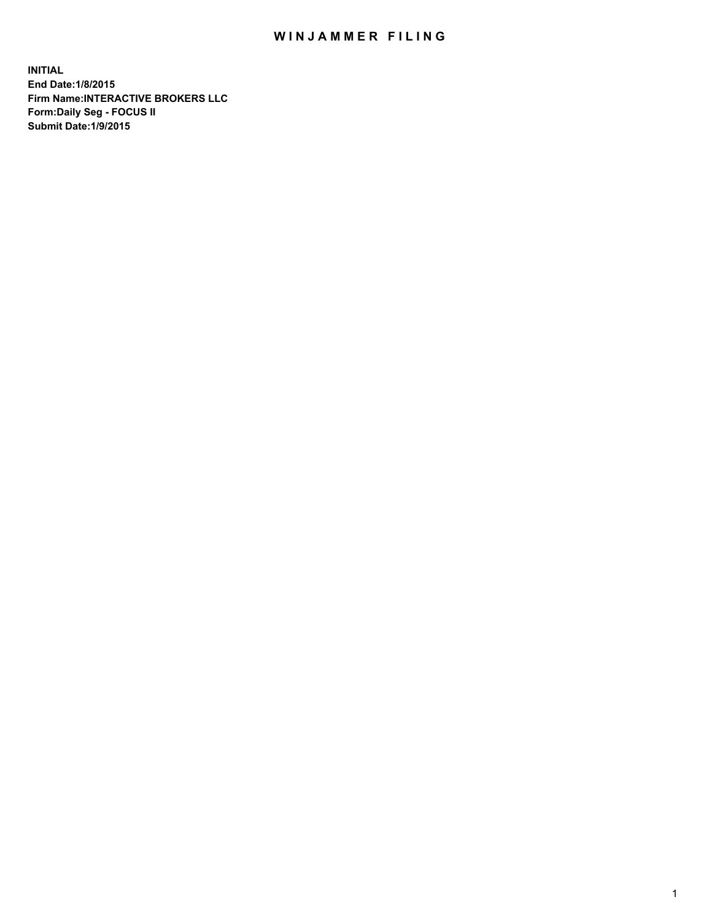## WIN JAMMER FILING

**INITIAL End Date:1/8/2015 Firm Name:INTERACTIVE BROKERS LLC Form:Daily Seg - FOCUS II Submit Date:1/9/2015**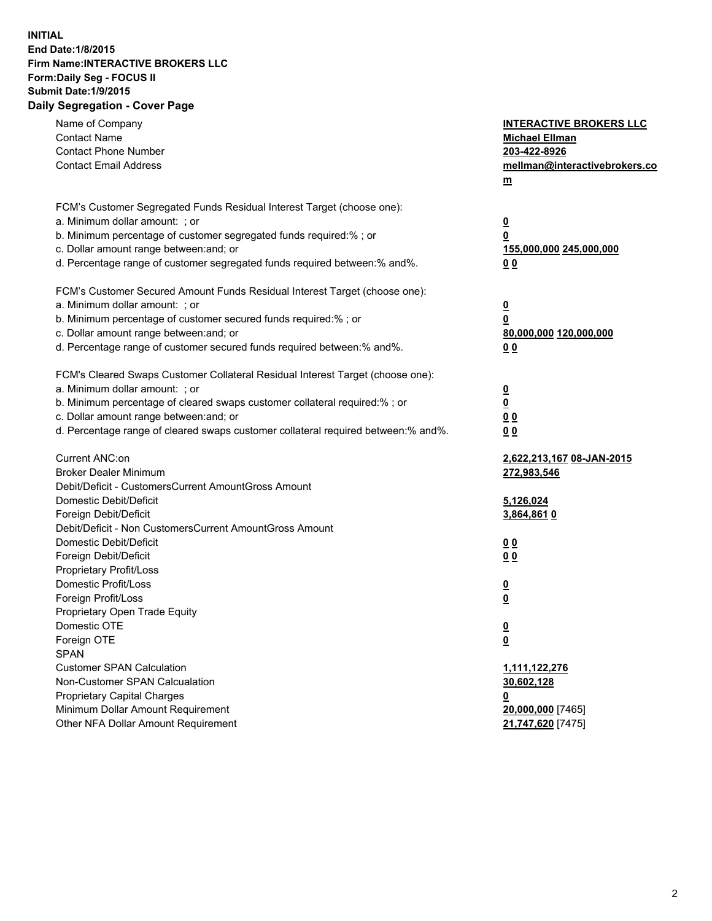## **INITIAL End Date:1/8/2015 Firm Name:INTERACTIVE BROKERS LLC Form:Daily Seg - FOCUS II Submit Date:1/9/2015 Daily Segregation - Cover Page**

| Name of Company<br><b>Contact Name</b>                                            | <b>INTERACTIVE BROKERS LLC</b><br><b>Michael Ellman</b> |
|-----------------------------------------------------------------------------------|---------------------------------------------------------|
| <b>Contact Phone Number</b>                                                       | 203-422-8926                                            |
| <b>Contact Email Address</b>                                                      | mellman@interactivebrokers.co                           |
|                                                                                   | $\underline{\mathbf{m}}$                                |
|                                                                                   |                                                         |
| FCM's Customer Segregated Funds Residual Interest Target (choose one):            |                                                         |
| a. Minimum dollar amount: ; or                                                    | $\overline{\mathbf{0}}$                                 |
| b. Minimum percentage of customer segregated funds required:% ; or                | 0                                                       |
| c. Dollar amount range between: and; or                                           | 155,000,000 245,000,000                                 |
| d. Percentage range of customer segregated funds required between:% and%.         | 00                                                      |
| FCM's Customer Secured Amount Funds Residual Interest Target (choose one):        |                                                         |
| a. Minimum dollar amount: ; or                                                    | $\overline{\mathbf{0}}$                                 |
| b. Minimum percentage of customer secured funds required:% ; or                   | 0                                                       |
| c. Dollar amount range between: and; or                                           | 80,000,000 120,000,000                                  |
| d. Percentage range of customer secured funds required between:% and%.            | 00                                                      |
| FCM's Cleared Swaps Customer Collateral Residual Interest Target (choose one):    |                                                         |
| a. Minimum dollar amount: ; or                                                    | $\overline{\mathbf{0}}$                                 |
| b. Minimum percentage of cleared swaps customer collateral required:% ; or        | $\underline{\mathbf{0}}$                                |
| c. Dollar amount range between: and; or                                           | 0 <sub>0</sub>                                          |
| d. Percentage range of cleared swaps customer collateral required between:% and%. | 0 <sub>0</sub>                                          |
|                                                                                   |                                                         |
| Current ANC:on                                                                    | 2,622,213,167 08-JAN-2015                               |
| <b>Broker Dealer Minimum</b>                                                      | 272,983,546                                             |
| Debit/Deficit - CustomersCurrent AmountGross Amount                               |                                                         |
| Domestic Debit/Deficit                                                            | 5,126,024                                               |
| Foreign Debit/Deficit                                                             | 3,864,861 0                                             |
| Debit/Deficit - Non CustomersCurrent AmountGross Amount                           |                                                         |
| Domestic Debit/Deficit                                                            | 0 <sub>0</sub>                                          |
| Foreign Debit/Deficit                                                             | 0 <sub>0</sub>                                          |
| Proprietary Profit/Loss                                                           |                                                         |
| Domestic Profit/Loss                                                              | $\overline{\mathbf{0}}$                                 |
| Foreign Profit/Loss                                                               | $\underline{\mathbf{0}}$                                |
| Proprietary Open Trade Equity                                                     |                                                         |
| Domestic OTE                                                                      | <u>0</u>                                                |
| Foreign OTE                                                                       | <u>0</u>                                                |
| <b>SPAN</b>                                                                       |                                                         |
| <b>Customer SPAN Calculation</b>                                                  | 1,111,122,276                                           |
| Non-Customer SPAN Calcualation                                                    | 30,602,128                                              |
| Proprietary Capital Charges                                                       | <u>0</u>                                                |
| Minimum Dollar Amount Requirement                                                 | 20,000,000 [7465]                                       |
| Other NFA Dollar Amount Requirement                                               | 21,747,620 [7475]                                       |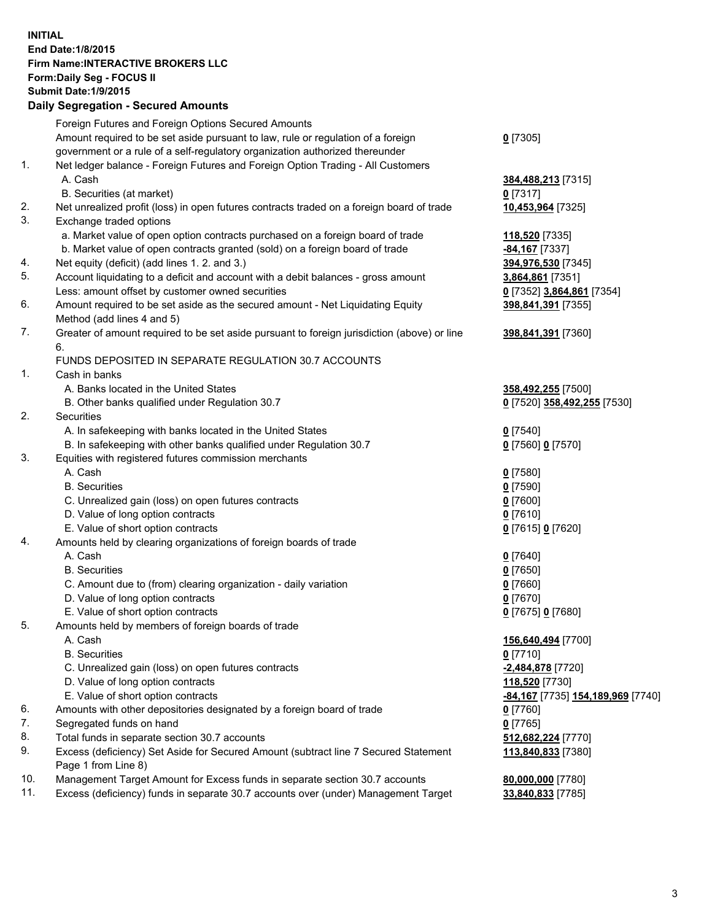## **INITIAL End Date:1/8/2015 Firm Name:INTERACTIVE BROKERS LLC Form:Daily Seg - FOCUS II Submit Date:1/9/2015 Daily Segregation - Secured Amounts**

|     | Foreign Futures and Foreign Options Secured Amounts                                                        |                                   |
|-----|------------------------------------------------------------------------------------------------------------|-----------------------------------|
|     | Amount required to be set aside pursuant to law, rule or regulation of a foreign                           | $0$ [7305]                        |
|     | government or a rule of a self-regulatory organization authorized thereunder                               |                                   |
| 1.  | Net ledger balance - Foreign Futures and Foreign Option Trading - All Customers                            |                                   |
|     | A. Cash                                                                                                    | 384,488,213 [7315]                |
|     | B. Securities (at market)                                                                                  | $0$ [7317]                        |
| 2.  | Net unrealized profit (loss) in open futures contracts traded on a foreign board of trade                  | 10,453,964 [7325]                 |
| 3.  | Exchange traded options                                                                                    |                                   |
|     | a. Market value of open option contracts purchased on a foreign board of trade                             | 118,520 [7335]                    |
|     | b. Market value of open contracts granted (sold) on a foreign board of trade                               | -84,167 <sup>[7337]</sup>         |
| 4.  | Net equity (deficit) (add lines 1.2. and 3.)                                                               | 394,976,530 [7345]                |
| 5.  | Account liquidating to a deficit and account with a debit balances - gross amount                          | 3,864,861 [7351]                  |
|     | Less: amount offset by customer owned securities                                                           | 0 [7352] 3,864,861 [7354]         |
| 6.  | Amount required to be set aside as the secured amount - Net Liquidating Equity                             | 398,841,391 [7355]                |
|     | Method (add lines 4 and 5)                                                                                 |                                   |
| 7.  | Greater of amount required to be set aside pursuant to foreign jurisdiction (above) or line                | 398,841,391 [7360]                |
|     | 6.                                                                                                         |                                   |
|     | FUNDS DEPOSITED IN SEPARATE REGULATION 30.7 ACCOUNTS                                                       |                                   |
| 1.  | Cash in banks                                                                                              |                                   |
|     | A. Banks located in the United States                                                                      | 358,492,255 [7500]                |
|     | B. Other banks qualified under Regulation 30.7                                                             | 0 [7520] 358,492,255 [7530]       |
| 2.  | Securities                                                                                                 |                                   |
|     | A. In safekeeping with banks located in the United States                                                  | $Q$ [7540]                        |
|     | B. In safekeeping with other banks qualified under Regulation 30.7                                         | 0 [7560] 0 [7570]                 |
| 3.  | Equities with registered futures commission merchants                                                      |                                   |
|     | A. Cash                                                                                                    | $0$ [7580]                        |
|     | <b>B.</b> Securities                                                                                       | $0$ [7590]                        |
|     | C. Unrealized gain (loss) on open futures contracts                                                        | $0$ [7600]                        |
|     | D. Value of long option contracts                                                                          | $0$ [7610]                        |
|     | E. Value of short option contracts                                                                         | 0 [7615] 0 [7620]                 |
| 4.  | Amounts held by clearing organizations of foreign boards of trade                                          |                                   |
|     | A. Cash                                                                                                    | $0$ [7640]                        |
|     | <b>B.</b> Securities                                                                                       | $0$ [7650]                        |
|     | C. Amount due to (from) clearing organization - daily variation                                            | $0$ [7660]                        |
|     | D. Value of long option contracts                                                                          | $0$ [7670]                        |
|     | E. Value of short option contracts                                                                         | 0 [7675] 0 [7680]                 |
| 5.  | Amounts held by members of foreign boards of trade                                                         |                                   |
|     | A. Cash                                                                                                    | 156,640,494 [7700]                |
|     | <b>B.</b> Securities                                                                                       | $0$ [7710]                        |
|     | C. Unrealized gain (loss) on open futures contracts                                                        | -2,484,878 [7720]                 |
|     | D. Value of long option contracts                                                                          | 118,520 [7730]                    |
|     | E. Value of short option contracts                                                                         | -84,167 [7735] 154,189,969 [7740] |
| 6.  | Amounts with other depositories designated by a foreign board of trade                                     | $0$ [7760]                        |
| 7.  | Segregated funds on hand                                                                                   | $0$ [7765]                        |
| 8.  | Total funds in separate section 30.7 accounts                                                              | 512,682,224 [7770]                |
| 9.  | Excess (deficiency) Set Aside for Secured Amount (subtract line 7 Secured Statement<br>Page 1 from Line 8) | 113,840,833 [7380]                |
| 10. | Management Target Amount for Excess funds in separate section 30.7 accounts                                | 80,000,000 [7780]                 |
| 11. | Excess (deficiency) funds in separate 30.7 accounts over (under) Management Target                         | 33,840,833 [7785]                 |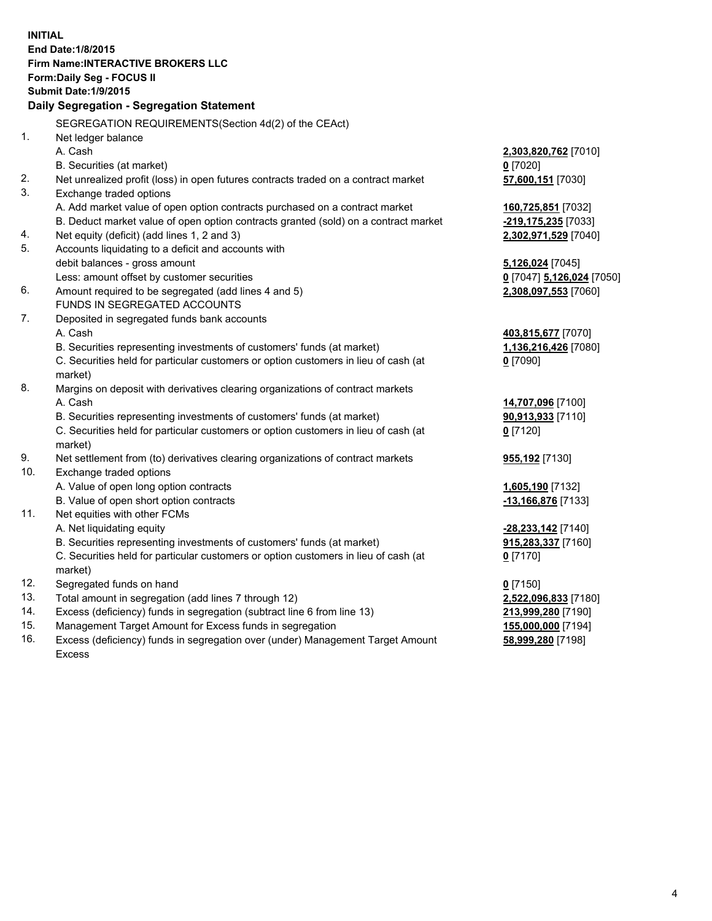**INITIAL End Date:1/8/2015 Firm Name:INTERACTIVE BROKERS LLC Form:Daily Seg - FOCUS II Submit Date:1/9/2015 Daily Segregation - Segregation Statement** SEGREGATION REQUIREMENTS(Section 4d(2) of the CEAct) 1. Net ledger balance A. Cash **2,303,820,762** [7010] B. Securities (at market) **0** [7020] 2. Net unrealized profit (loss) in open futures contracts traded on a contract market **57,600,151** [7030] 3. Exchange traded options A. Add market value of open option contracts purchased on a contract market **160,725,851** [7032] B. Deduct market value of open option contracts granted (sold) on a contract market **-219,175,235** [7033] 4. Net equity (deficit) (add lines 1, 2 and 3) **2,302,971,529** [7040] 5. Accounts liquidating to a deficit and accounts with debit balances - gross amount **5,126,024** [7045] Less: amount offset by customer securities **0** [7047] **5,126,024** [7050] 6. Amount required to be segregated (add lines 4 and 5) **2,308,097,553** [7060] FUNDS IN SEGREGATED ACCOUNTS 7. Deposited in segregated funds bank accounts A. Cash **403,815,677** [7070] B. Securities representing investments of customers' funds (at market) **1,136,216,426** [7080] C. Securities held for particular customers or option customers in lieu of cash (at market) **0** [7090] 8. Margins on deposit with derivatives clearing organizations of contract markets A. Cash **14,707,096** [7100] B. Securities representing investments of customers' funds (at market) **90,913,933** [7110] C. Securities held for particular customers or option customers in lieu of cash (at market) **0** [7120] 9. Net settlement from (to) derivatives clearing organizations of contract markets **955,192** [7130] 10. Exchange traded options A. Value of open long option contracts **1,605,190** [7132] B. Value of open short option contracts **-13,166,876** [7133] 11. Net equities with other FCMs A. Net liquidating equity **-28,233,142** [7140] B. Securities representing investments of customers' funds (at market) **915,283,337** [7160] C. Securities held for particular customers or option customers in lieu of cash (at market) **0** [7170] 12. Segregated funds on hand **0** [7150] 13. Total amount in segregation (add lines 7 through 12) **2,522,096,833** [7180] 14. Excess (deficiency) funds in segregation (subtract line 6 from line 13) **213,999,280** [7190] 15. Management Target Amount for Excess funds in segregation **155,000,000** [7194]

16. Excess (deficiency) funds in segregation over (under) Management Target Amount Excess

**58,999,280** [7198]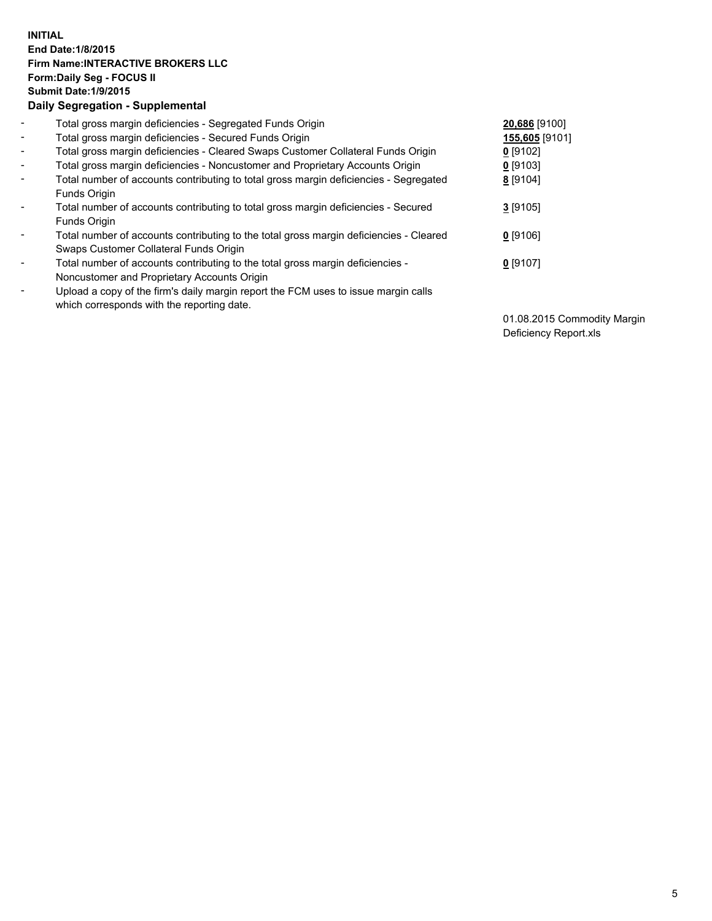## **INITIAL End Date:1/8/2015 Firm Name:INTERACTIVE BROKERS LLC Form:Daily Seg - FOCUS II Submit Date:1/9/2015 Daily Segregation - Supplemental**

| $\blacksquare$ | Total gross margin deficiencies - Segregated Funds Origin                              | 20,686 [9100]  |
|----------------|----------------------------------------------------------------------------------------|----------------|
| $\sim$         | Total gross margin deficiencies - Secured Funds Origin                                 | 155,605 [9101] |
| $\blacksquare$ | Total gross margin deficiencies - Cleared Swaps Customer Collateral Funds Origin       | $0$ [9102]     |
| $\blacksquare$ | Total gross margin deficiencies - Noncustomer and Proprietary Accounts Origin          | $0$ [9103]     |
| $\blacksquare$ | Total number of accounts contributing to total gross margin deficiencies - Segregated  | 8 [9104]       |
|                | Funds Origin                                                                           |                |
| $\blacksquare$ | Total number of accounts contributing to total gross margin deficiencies - Secured     | $3$ [9105]     |
|                | Funds Origin                                                                           |                |
| $\blacksquare$ | Total number of accounts contributing to the total gross margin deficiencies - Cleared | 0 [9106]       |
|                | Swaps Customer Collateral Funds Origin                                                 |                |
| $\blacksquare$ | Total number of accounts contributing to the total gross margin deficiencies -         | $0$ [9107]     |
|                | Noncustomer and Proprietary Accounts Origin                                            |                |
| ۰              | Upload a copy of the firm's daily margin report the FCM uses to issue margin calls     |                |
|                | which corresponds with the reporting date.                                             |                |

01.08.2015 Commodity Margin Deficiency Report.xls